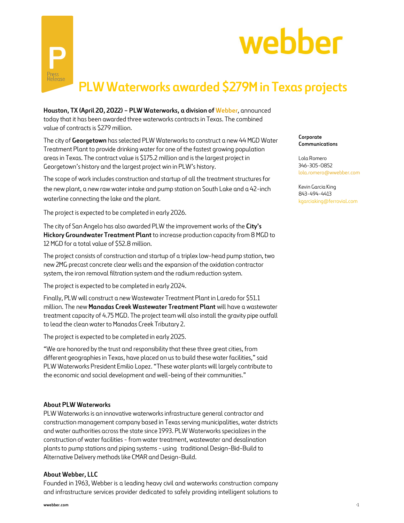



Houston, TX (April 20, 2022) - PLW Waterworks, a division of Webber, announced today that it has been awarded three waterworks contracts in Texas. The combined value of contracts is \$279 million.

The city of Georgetown has selected PLW Waterworks to construct a new 44 MGD Water Treatment Plant to provide drinking water for one of the fastest growing population areas in Texas. The contract value is \$175.2 million and is the largest project in Georgetown's history and the largest project win in PLW's history.

The scope of work includes construction and startup of all the treatment structures for the new plant, a new raw water intake and pump station on South Lake and a 42-inch waterline connecting the lake and the plant.

The project is expected to be completed in early 2026.

The city of San Angelo has also awarded PLW the improvement works of the City's Hickory Groundwater Treatment Plant to increase production capacity from 8 MGD to 12 MGD for a total value of \$52.8 million.

The project consists of construction and startup of a triplex low-head pump station, two new 2MG precast concrete clear wells and the expansion of the oxidation contractor system, the iron removal filtration system and the radium reduction system.

The project is expected to be completed in early 2024.

Finally, PLW will construct a new Wastewater Treatment Plant in Laredo for \$51.1 million. The new Manadas Creek Wastewater Treatment Plant will have a wastewater treatment capacity of 4.75 MGD. The project team will also install the gravity pipe outfall to lead the clean water to Manadas Creek Tributary 2.

The project is expected to be completed in early 2025.

"We are honored by the trust and responsibility that these three great cities, from different geographies in Texas, have placed on us to build these water facilities," said PLW Waterworks President Emilio Lopez. "These water plants will largely contribute to the economic and social development and well-being of their communities."

## About PLW Waterworks

PLW Waterworks is an innovative waterworks infrastructure general contractor and construction management company based in Texas serving municipalities, water districts and water authorities across the state since 1993. PLW Waterworks specializes in the construction of water facilities - from water treatment, wastewater and desalination plants to pump stations and piping systems - using traditional Design-Bid-Build to Alternative Delivery methods like CMAR and Design-Build.

## About Webber, LLC

Founded in 1963, Webber is a leading heavy civil and waterworks construction company and infrastructure services provider dedicated to safely providing intelligent solutions to Corporate Communications

Lola Romero 346-305-0852 lola.romero@wwebber.com

Kevin Garcia King 843-494-4413 kgarciaking@ferrovial.com